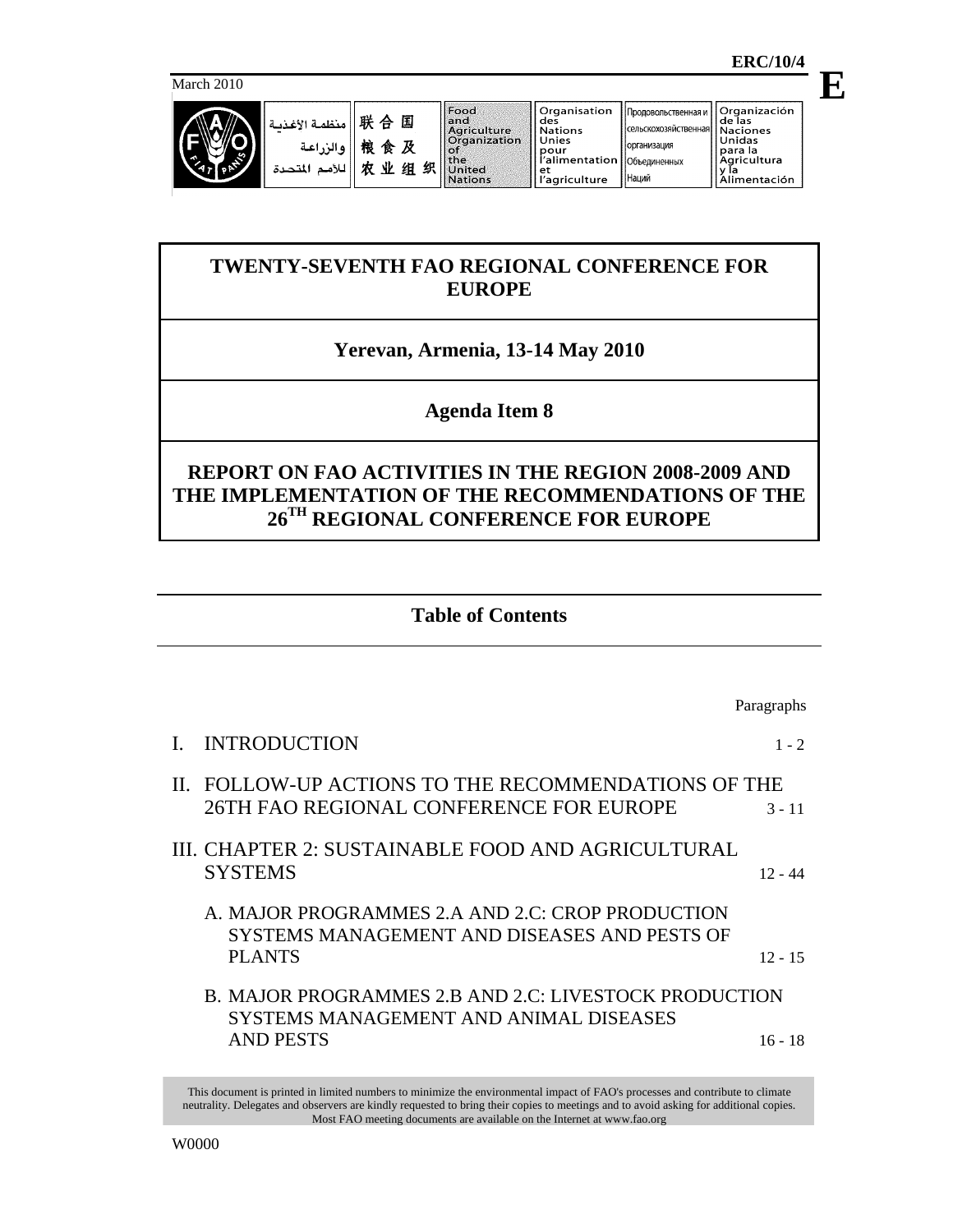**E**

March 2010



| 联 合    منظمة الأغذيـة<br>   والزراعـة<br>   لأمم المتحدة |  |
|----------------------------------------------------------|--|
|                                                          |  |

ור

国

及

组织

**Объединенных** 

Наций

Organización<br>de las **Naciones**<br>Unidas para la<br>Agricultura y ľa<br><u>Alimentación</u>

# **TWENTY-SEVENTH FAO REGIONAL CONFERENCE FOR EUROPE**

# **Yerevan, Armenia, 13-14 May 2010**

# **Agenda Item 8**

# **REPORT ON FAO ACTIVITIES IN THE REGION 2008-2009 AND THE IMPLEMENTATION OF THE RECOMMENDATIONS OF THE 26TH REGIONAL CONFERENCE FOR EUROPE**

## **Table of Contents**

Paragraphs I. INTRODUCTION 1 - 2 II. FOLLOW-UP ACTIONS TO THE RECOMMENDATIONS OF THE 26TH FAO REGIONAL CONFERENCE FOR EUROPE 3 - 11 III. CHAPTER 2: SUSTAINABLE FOOD AND AGRICULTURAL SYSTEMS 12 - 44 A. MAJOR PROGRAMMES 2.A AND 2.C: CROP PRODUCTION SYSTEMS MANAGEMENT AND DISEASES AND PESTS OF PLANTS 12 - 15 B. MAJOR PROGRAMMES 2.B AND 2.C: LIVESTOCK PRODUCTION SYSTEMS MANAGEMENT AND ANIMAL DISEASES AND PESTS 16 - 18

This document is printed in limited numbers to minimize the environmental impact of FAO's processes and contribute to climate neutrality. Delegates and observers are kindly requested to bring their copies to meetings and to avoid asking for additional copies. Most FAO meeting documents are available on the Internet at www.fao.org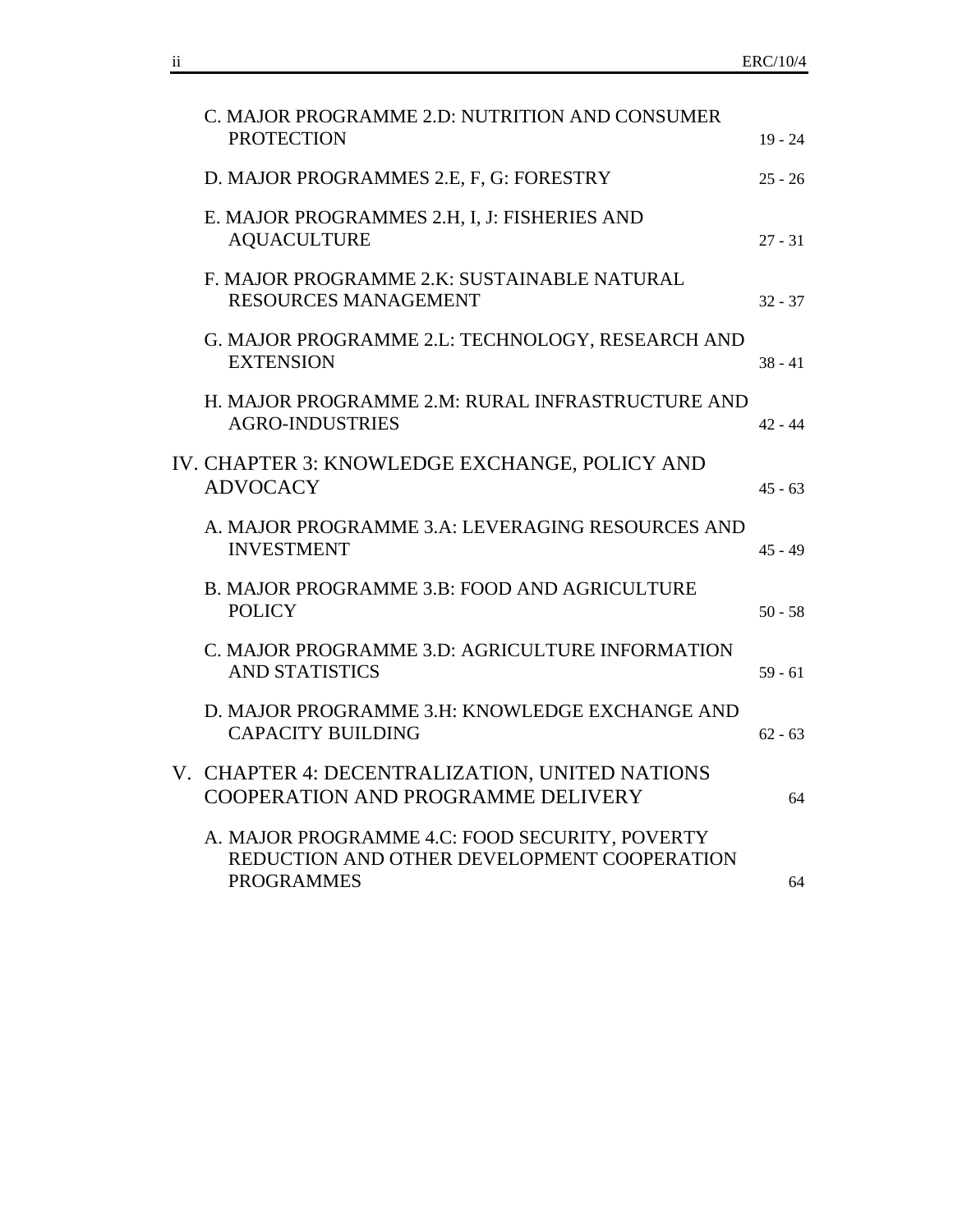| C. MAJOR PROGRAMME 2.D: NUTRITION AND CONSUMER<br><b>PROTECTION</b>                                                | $19 - 24$ |
|--------------------------------------------------------------------------------------------------------------------|-----------|
| D. MAJOR PROGRAMMES 2.E, F, G: FORESTRY                                                                            | $25 - 26$ |
| E. MAJOR PROGRAMMES 2.H, I, J: FISHERIES AND<br><b>AQUACULTURE</b>                                                 | $27 - 31$ |
| F. MAJOR PROGRAMME 2.K: SUSTAINABLE NATURAL<br><b>RESOURCES MANAGEMENT</b>                                         | $32 - 37$ |
| G. MAJOR PROGRAMME 2.L: TECHNOLOGY, RESEARCH AND<br><b>EXTENSION</b>                                               | $38 - 41$ |
| H. MAJOR PROGRAMME 2.M: RURAL INFRASTRUCTURE AND<br><b>AGRO-INDUSTRIES</b>                                         | $42 - 44$ |
| IV. CHAPTER 3: KNOWLEDGE EXCHANGE, POLICY AND<br><b>ADVOCACY</b>                                                   | $45 - 63$ |
| A. MAJOR PROGRAMME 3.A: LEVERAGING RESOURCES AND<br><b>INVESTMENT</b>                                              | $45 - 49$ |
| B. MAJOR PROGRAMME 3.B: FOOD AND AGRICULTURE<br><b>POLICY</b>                                                      | $50 - 58$ |
| C. MAJOR PROGRAMME 3.D: AGRICULTURE INFORMATION<br><b>AND STATISTICS</b>                                           | $59 - 61$ |
| D. MAJOR PROGRAMME 3.H: KNOWLEDGE EXCHANGE AND<br><b>CAPACITY BUILDING</b>                                         | $62 - 63$ |
| V. CHAPTER 4: DECENTRALIZATION, UNITED NATIONS<br>COOPERATION AND PROGRAMME DELIVERY                               | 64        |
| A. MAJOR PROGRAMME 4.C: FOOD SECURITY, POVERTY<br>REDUCTION AND OTHER DEVELOPMENT COOPERATION<br><b>PROGRAMMES</b> | 64        |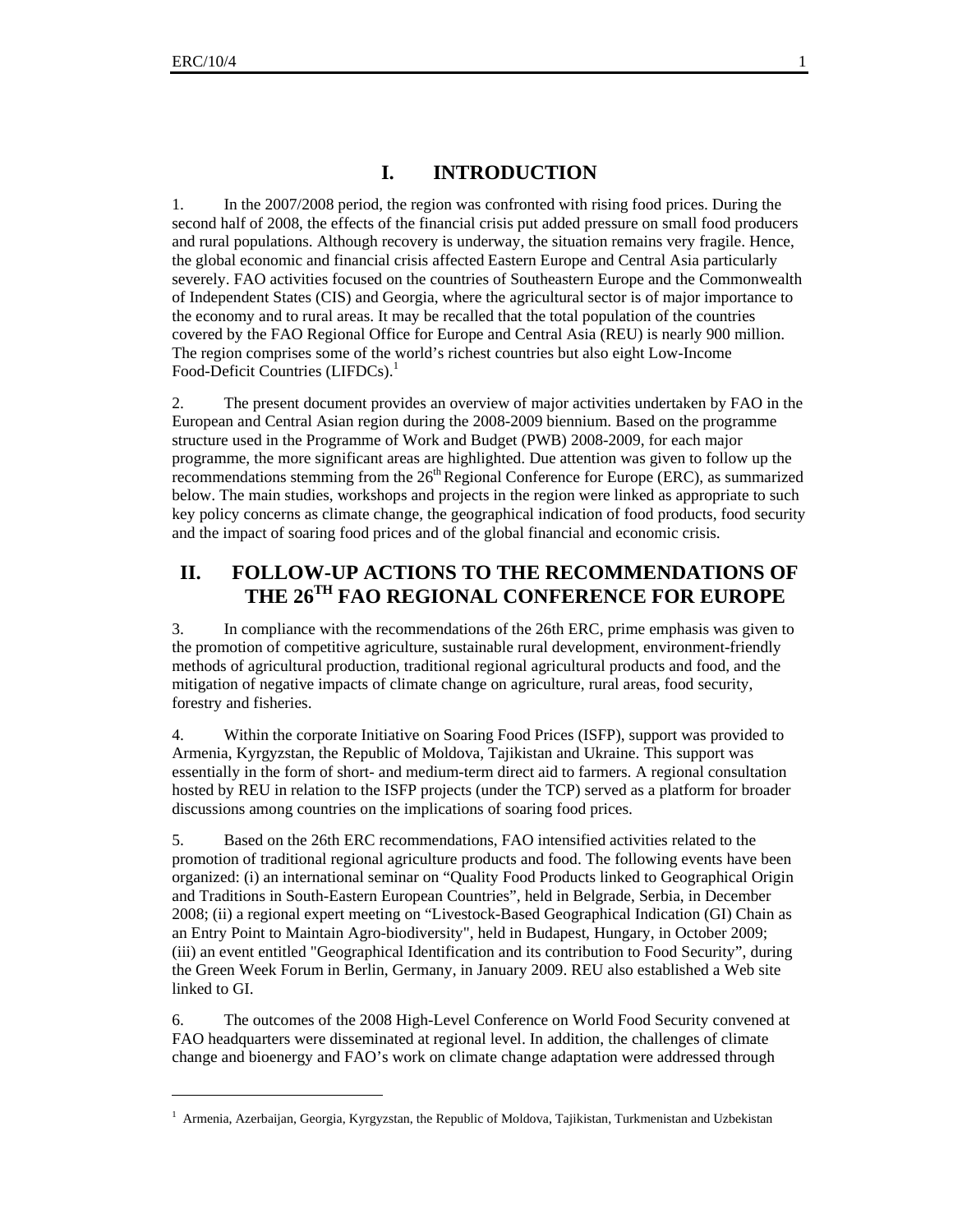$\overline{a}$ 

## **I. INTRODUCTION**

1. In the 2007/2008 period, the region was confronted with rising food prices. During the second half of 2008, the effects of the financial crisis put added pressure on small food producers and rural populations. Although recovery is underway, the situation remains very fragile. Hence, the global economic and financial crisis affected Eastern Europe and Central Asia particularly severely. FAO activities focused on the countries of Southeastern Europe and the Commonwealth of Independent States (CIS) and Georgia, where the agricultural sector is of major importance to the economy and to rural areas. It may be recalled that the total population of the countries covered by the FAO Regional Office for Europe and Central Asia (REU) is nearly 900 million. The region comprises some of the world's richest countries but also eight Low-Income Food-Deficit Countries (LIFDCs).<sup>1</sup>

2. The present document provides an overview of major activities undertaken by FAO in the European and Central Asian region during the 2008-2009 biennium. Based on the programme structure used in the Programme of Work and Budget (PWB) 2008-2009, for each major programme, the more significant areas are highlighted. Due attention was given to follow up the recommendations stemming from the 26<sup>th</sup> Regional Conference for Europe (ERC), as summarized below. The main studies, workshops and projects in the region were linked as appropriate to such key policy concerns as climate change, the geographical indication of food products, food security and the impact of soaring food prices and of the global financial and economic crisis.

## **II. FOLLOW-UP ACTIONS TO THE RECOMMENDATIONS OF THE 26TH FAO REGIONAL CONFERENCE FOR EUROPE**

3. In compliance with the recommendations of the 26th ERC, prime emphasis was given to the promotion of competitive agriculture, sustainable rural development, environment-friendly methods of agricultural production, traditional regional agricultural products and food, and the mitigation of negative impacts of climate change on agriculture, rural areas, food security, forestry and fisheries.

4. Within the corporate Initiative on Soaring Food Prices (ISFP), support was provided to Armenia, Kyrgyzstan, the Republic of Moldova, Tajikistan and Ukraine. This support was essentially in the form of short- and medium-term direct aid to farmers. A regional consultation hosted by REU in relation to the ISFP projects (under the TCP) served as a platform for broader discussions among countries on the implications of soaring food prices.

5. Based on the 26th ERC recommendations, FAO intensified activities related to the promotion of traditional regional agriculture products and food. The following events have been organized: (i) an international seminar on "Quality Food Products linked to Geographical Origin and Traditions in South-Eastern European Countries", held in Belgrade, Serbia, in December 2008; (ii) a regional expert meeting on "Livestock-Based Geographical Indication (GI) Chain as an Entry Point to Maintain Agro-biodiversity", held in Budapest, Hungary, in October 2009; (iii) an event entitled "Geographical Identification and its contribution to Food Security", during the Green Week Forum in Berlin, Germany, in January 2009. REU also established a Web site linked to GI.

6. The outcomes of the 2008 High-Level Conference on World Food Security convened at FAO headquarters were disseminated at regional level. In addition, the challenges of climate change and bioenergy and FAO's work on climate change adaptation were addressed through

<sup>&</sup>lt;sup>1</sup> Armenia, Azerbaijan, Georgia, Kyrgyzstan, the Republic of Moldova, Tajikistan, Turkmenistan and Uzbekistan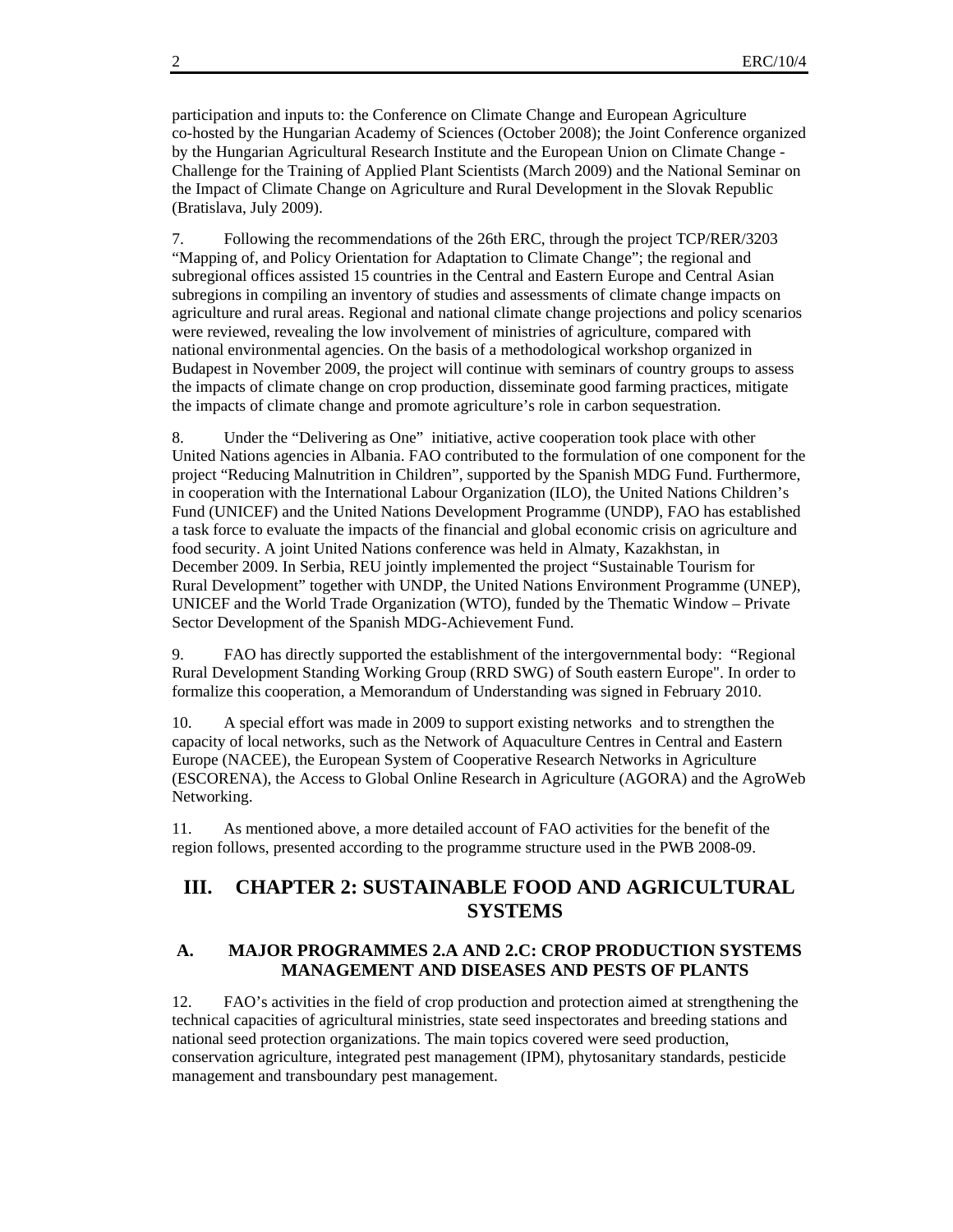participation and inputs to: the Conference on Climate Change and European Agriculture co-hosted by the Hungarian Academy of Sciences (October 2008); the Joint Conference organized by the Hungarian Agricultural Research Institute and the European Union on Climate Change - Challenge for the Training of Applied Plant Scientists (March 2009) and the National Seminar on the Impact of Climate Change on Agriculture and Rural Development in the Slovak Republic (Bratislava, July 2009).

7. Following the recommendations of the 26th ERC, through the project TCP/RER/3203 "Mapping of, and Policy Orientation for Adaptation to Climate Change"; the regional and subregional offices assisted 15 countries in the Central and Eastern Europe and Central Asian subregions in compiling an inventory of studies and assessments of climate change impacts on agriculture and rural areas. Regional and national climate change projections and policy scenarios were reviewed, revealing the low involvement of ministries of agriculture, compared with national environmental agencies. On the basis of a methodological workshop organized in Budapest in November 2009, the project will continue with seminars of country groups to assess the impacts of climate change on crop production, disseminate good farming practices, mitigate the impacts of climate change and promote agriculture's role in carbon sequestration.

8. Under the "Delivering as One" initiative, active cooperation took place with other United Nations agencies in Albania. FAO contributed to the formulation of one component for the project "Reducing Malnutrition in Children", supported by the Spanish MDG Fund. Furthermore, in cooperation with the International Labour Organization (ILO), the United Nations Children's Fund (UNICEF) and the United Nations Development Programme (UNDP), FAO has established a task force to evaluate the impacts of the financial and global economic crisis on agriculture and food security. A joint United Nations conference was held in Almaty, Kazakhstan, in December 2009. In Serbia, REU jointly implemented the project "Sustainable Tourism for Rural Development" together with UNDP, the United Nations Environment Programme (UNEP), UNICEF and the World Trade Organization (WTO), funded by the Thematic Window – Private Sector Development of the Spanish MDG-Achievement Fund.

9. FAO has directly supported the establishment of the intergovernmental body: "Regional Rural Development Standing Working Group (RRD SWG) of South eastern Europe". In order to formalize this cooperation, a Memorandum of Understanding was signed in February 2010.

10. A special effort was made in 2009 to support existing networks and to strengthen the capacity of local networks, such as the Network of Aquaculture Centres in Central and Eastern Europe (NACEE), the European System of Cooperative Research Networks in Agriculture (ESCORENA), the Access to Global Online Research in Agriculture (AGORA) and the AgroWeb Networking.

11. As mentioned above, a more detailed account of FAO activities for the benefit of the region follows, presented according to the programme structure used in the PWB 2008-09.

## **III. CHAPTER 2: SUSTAINABLE FOOD AND AGRICULTURAL SYSTEMS**

#### **A. MAJOR PROGRAMMES 2.A AND 2.C: CROP PRODUCTION SYSTEMS MANAGEMENT AND DISEASES AND PESTS OF PLANTS**

12. FAO's activities in the field of crop production and protection aimed at strengthening the technical capacities of agricultural ministries, state seed inspectorates and breeding stations and national seed protection organizations. The main topics covered were seed production, conservation agriculture, integrated pest management (IPM), phytosanitary standards, pesticide management and transboundary pest management.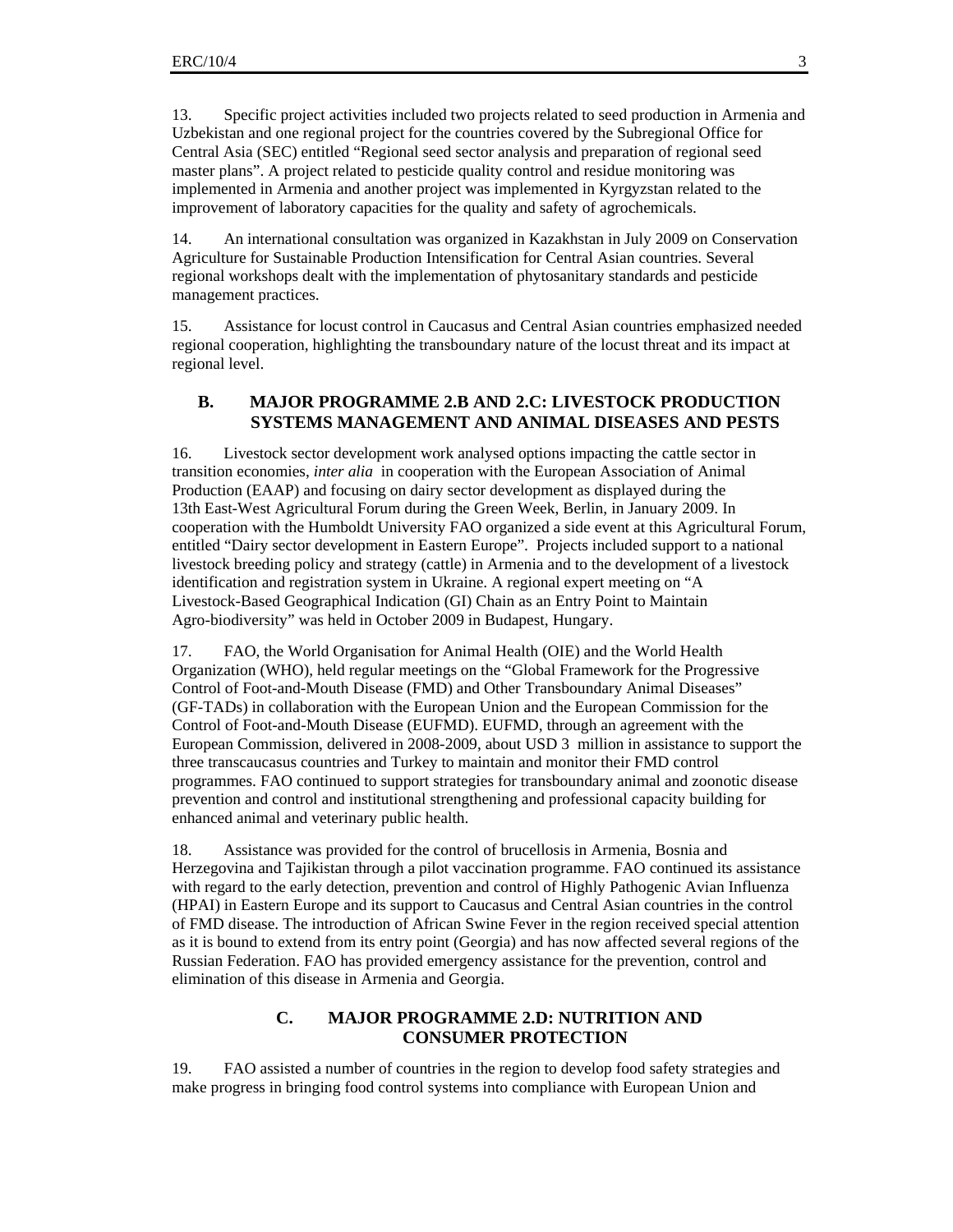13. Specific project activities included two projects related to seed production in Armenia and Uzbekistan and one regional project for the countries covered by the Subregional Office for Central Asia (SEC) entitled "Regional seed sector analysis and preparation of regional seed master plans". A project related to pesticide quality control and residue monitoring was implemented in Armenia and another project was implemented in Kyrgyzstan related to the improvement of laboratory capacities for the quality and safety of agrochemicals.

14. An international consultation was organized in Kazakhstan in July 2009 on Conservation Agriculture for Sustainable Production Intensification for Central Asian countries. Several regional workshops dealt with the implementation of phytosanitary standards and pesticide management practices.

15. Assistance for locust control in Caucasus and Central Asian countries emphasized needed regional cooperation, highlighting the transboundary nature of the locust threat and its impact at regional level.

#### **B. MAJOR PROGRAMME 2.B AND 2.C: LIVESTOCK PRODUCTION SYSTEMS MANAGEMENT AND ANIMAL DISEASES AND PESTS**

16. Livestock sector development work analysed options impacting the cattle sector in transition economies, *inter alia* in cooperation with the European Association of Animal Production (EAAP) and focusing on dairy sector development as displayed during the 13th East-West Agricultural Forum during the Green Week, Berlin, in January 2009. In cooperation with the Humboldt University FAO organized a side event at this Agricultural Forum, entitled "Dairy sector development in Eastern Europe". Projects included support to a national livestock breeding policy and strategy (cattle) in Armenia and to the development of a livestock identification and registration system in Ukraine. A regional expert meeting on "A Livestock-Based Geographical Indication (GI) Chain as an Entry Point to Maintain Agro-biodiversity" was held in October 2009 in Budapest, Hungary.

17. FAO, the World Organisation for Animal Health (OIE) and the World Health Organization (WHO), held regular meetings on the "Global Framework for the Progressive Control of Foot-and-Mouth Disease (FMD) and Other Transboundary Animal Diseases" (GF-TADs) in collaboration with the European Union and the European Commission for the Control of Foot-and-Mouth Disease (EUFMD). EUFMD, through an agreement with the European Commission, delivered in 2008-2009, about USD 3 million in assistance to support the three transcaucasus countries and Turkey to maintain and monitor their FMD control programmes. FAO continued to support strategies for transboundary animal and zoonotic disease prevention and control and institutional strengthening and professional capacity building for enhanced animal and veterinary public health.

18. Assistance was provided for the control of brucellosis in Armenia, Bosnia and Herzegovina and Tajikistan through a pilot vaccination programme. FAO continued its assistance with regard to the early detection, prevention and control of Highly Pathogenic Avian Influenza (HPAI) in Eastern Europe and its support to Caucasus and Central Asian countries in the control of FMD disease. The introduction of African Swine Fever in the region received special attention as it is bound to extend from its entry point (Georgia) and has now affected several regions of the Russian Federation. FAO has provided emergency assistance for the prevention, control and elimination of this disease in Armenia and Georgia.

### **C. MAJOR PROGRAMME 2.D: NUTRITION AND CONSUMER PROTECTION**

19. FAO assisted a number of countries in the region to develop food safety strategies and make progress in bringing food control systems into compliance with European Union and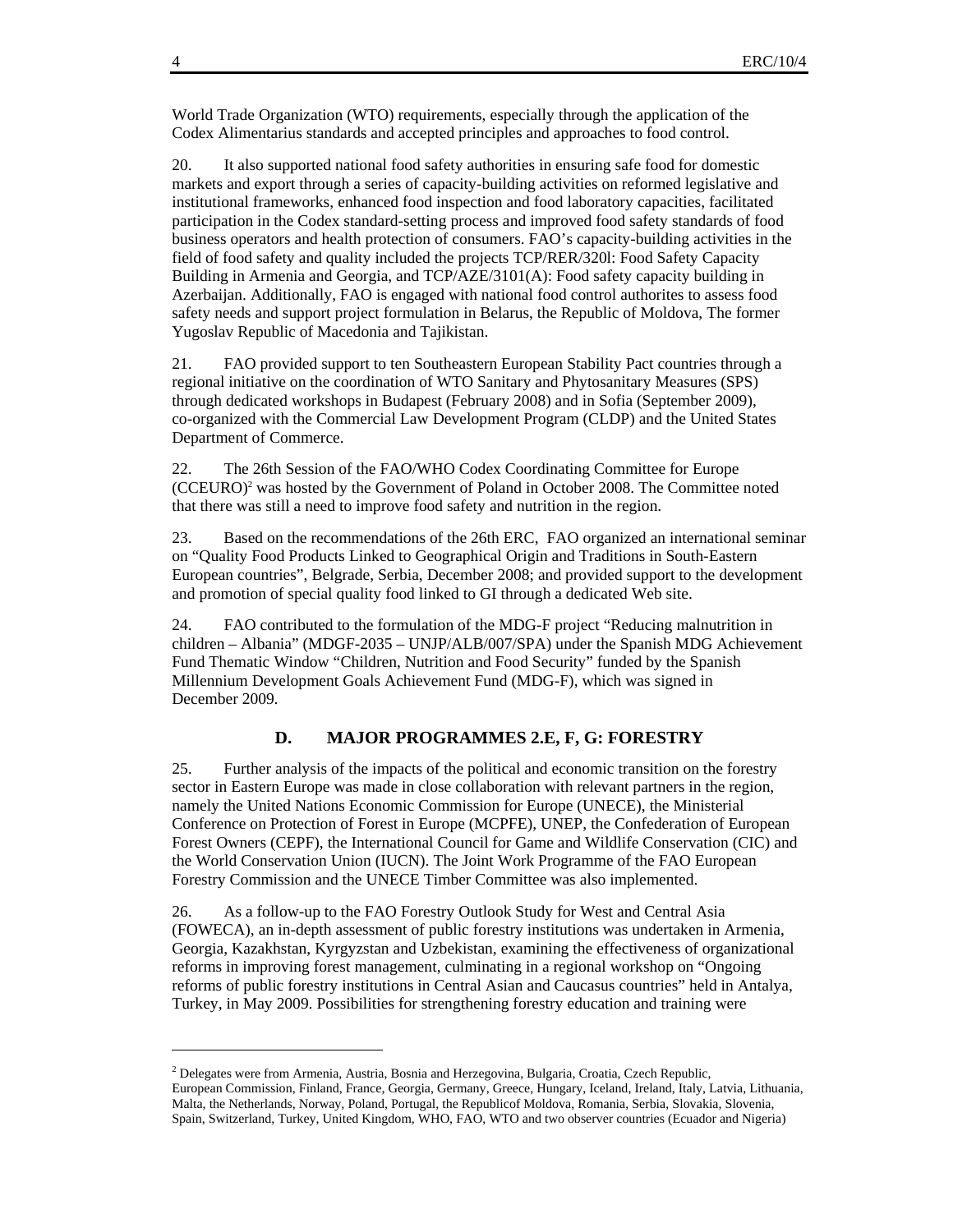World Trade Organization (WTO) requirements, especially through the application of the Codex Alimentarius standards and accepted principles and approaches to food control.

20. It also supported national food safety authorities in ensuring safe food for domestic markets and export through a series of capacity-building activities on reformed legislative and institutional frameworks, enhanced food inspection and food laboratory capacities, facilitated participation in the Codex standard-setting process and improved food safety standards of food business operators and health protection of consumers. FAO's capacity-building activities in the field of food safety and quality included the projects TCP/RER/320l: Food Safety Capacity Building in Armenia and Georgia, and TCP/AZE/3101(A): Food safety capacity building in Azerbaijan. Additionally, FAO is engaged with national food control authorites to assess food safety needs and support project formulation in Belarus, the Republic of Moldova, The former Yugoslav Republic of Macedonia and Tajikistan.

21. FAO provided support to ten Southeastern European Stability Pact countries through a regional initiative on the coordination of WTO Sanitary and Phytosanitary Measures (SPS) through dedicated workshops in Budapest (February 2008) and in Sofia (September 2009), co-organized with the Commercial Law Development Program (CLDP) and the United States Department of Commerce.

22. The 26th Session of the FAO/WHO Codex Coordinating Committee for Europe (CCEURO)<sup>2</sup> was hosted by the Government of Poland in October 2008. The Committee noted that there was still a need to improve food safety and nutrition in the region.

23. Based on the recommendations of the 26th ERC, FAO organized an international seminar on "Quality Food Products Linked to Geographical Origin and Traditions in South-Eastern European countries", Belgrade, Serbia, December 2008; and provided support to the development and promotion of special quality food linked to GI through a dedicated Web site.

24. FAO contributed to the formulation of the MDG-F project "Reducing malnutrition in children – Albania" (MDGF-2035 – UNJP/ALB/007/SPA) under the Spanish MDG Achievement Fund Thematic Window "Children, Nutrition and Food Security" funded by the Spanish Millennium Development Goals Achievement Fund (MDG-F), which was signed in December 2009.

#### **D. MAJOR PROGRAMMES 2.E, F, G: FORESTRY**

25. Further analysis of the impacts of the political and economic transition on the forestry sector in Eastern Europe was made in close collaboration with relevant partners in the region, namely the United Nations Economic Commission for Europe (UNECE), the Ministerial Conference on Protection of Forest in Europe (MCPFE), UNEP, the Confederation of European Forest Owners (CEPF), the International Council for Game and Wildlife Conservation (CIC) and the World Conservation Union (IUCN). The Joint Work Programme of the FAO European Forestry Commission and the UNECE Timber Committee was also implemented.

26. As a follow-up to the FAO Forestry Outlook Study for West and Central Asia (FOWECA), an in-depth assessment of public forestry institutions was undertaken in Armenia, Georgia, Kazakhstan, Kyrgyzstan and Uzbekistan, examining the effectiveness of organizational reforms in improving forest management, culminating in a regional workshop on "Ongoing reforms of public forestry institutions in Central Asian and Caucasus countries" held in Antalya, Turkey, in May 2009. Possibilities for strengthening forestry education and training were

 $\overline{a}$ 

<sup>&</sup>lt;sup>2</sup> Delegates were from Armenia, Austria, Bosnia and Herzegovina, Bulgaria, Croatia, Czech Republic, European Commission, Finland, France, Georgia, Germany, Greece, Hungary, Iceland, Ireland, Italy, Latvia, Lithuania, Malta, the Netherlands, Norway, Poland, Portugal, the Republicof Moldova, Romania, Serbia, Slovakia, Slovenia, Spain, Switzerland, Turkey, United Kingdom, WHO, FAO, WTO and two observer countries (Ecuador and Nigeria)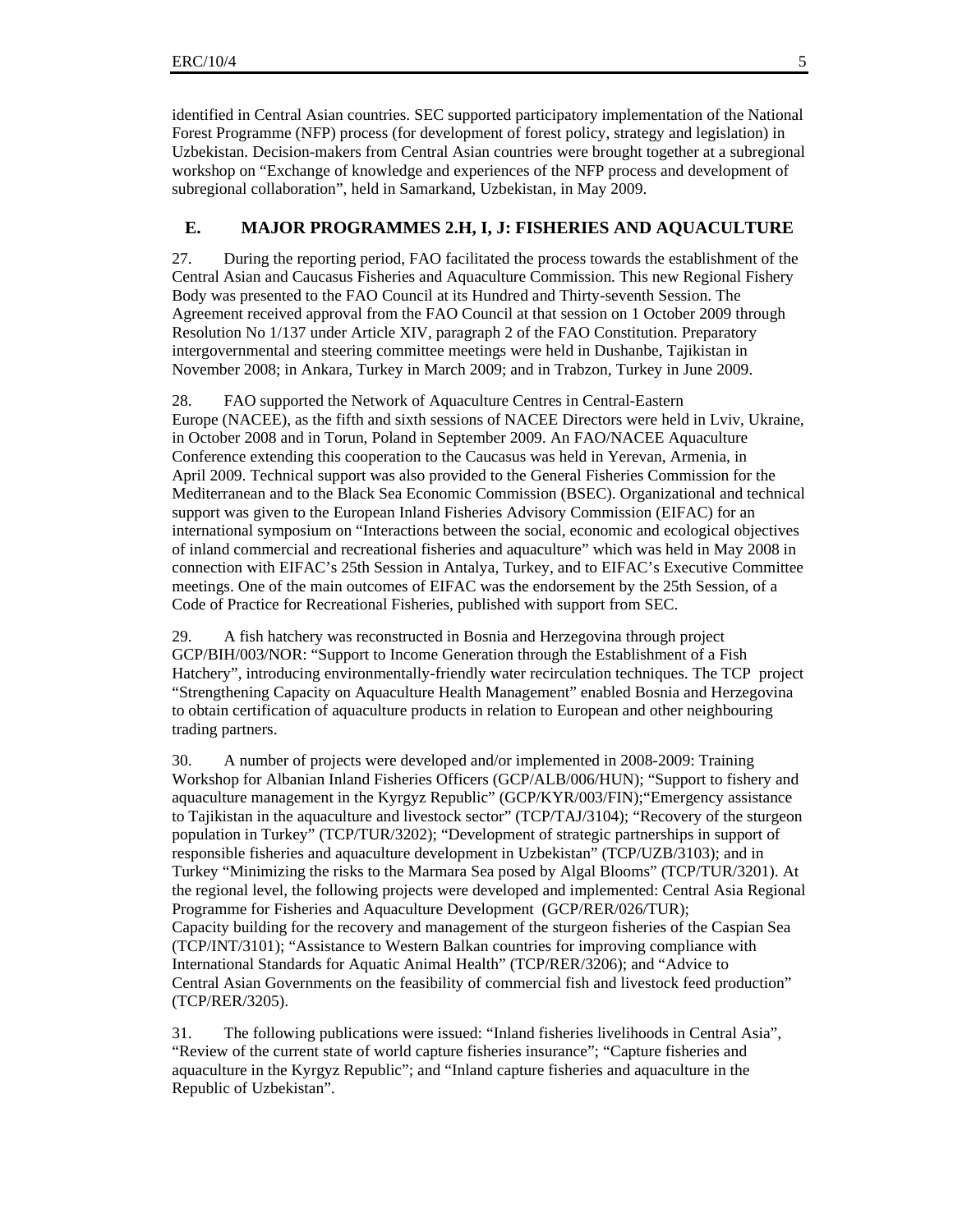identified in Central Asian countries. SEC supported participatory implementation of the National Forest Programme (NFP) process (for development of forest policy, strategy and legislation) in Uzbekistan. Decision-makers from Central Asian countries were brought together at a subregional workshop on "Exchange of knowledge and experiences of the NFP process and development of subregional collaboration", held in Samarkand, Uzbekistan, in May 2009.

#### **E. MAJOR PROGRAMMES 2.H, I, J: FISHERIES AND AQUACULTURE**

27. During the reporting period, FAO facilitated the process towards the establishment of the Central Asian and Caucasus Fisheries and Aquaculture Commission. This new Regional Fishery Body was presented to the FAO Council at its Hundred and Thirty-seventh Session. The Agreement received approval from the FAO Council at that session on 1 October 2009 through Resolution No 1/137 under Article XIV, paragraph 2 of the FAO Constitution. Preparatory intergovernmental and steering committee meetings were held in Dushanbe, Tajikistan in November 2008; in Ankara, Turkey in March 2009; and in Trabzon, Turkey in June 2009.

28. FAO supported the Network of Aquaculture Centres in Central-Eastern Europe (NACEE), as the fifth and sixth sessions of NACEE Directors were held in Lviv, Ukraine, in October 2008 and in Torun, Poland in September 2009. An FAO/NACEE Aquaculture Conference extending this cooperation to the Caucasus was held in Yerevan, Armenia, in April 2009. Technical support was also provided to the General Fisheries Commission for the Mediterranean and to the Black Sea Economic Commission (BSEC). Organizational and technical support was given to the European Inland Fisheries Advisory Commission (EIFAC) for an international symposium on "Interactions between the social, economic and ecological objectives of inland commercial and recreational fisheries and aquaculture" which was held in May 2008 in connection with EIFAC's 25th Session in Antalya, Turkey, and to EIFAC's Executive Committee meetings. One of the main outcomes of EIFAC was the endorsement by the 25th Session, of a Code of Practice for Recreational Fisheries, published with support from SEC.

29. A fish hatchery was reconstructed in Bosnia and Herzegovina through project GCP/BIH/003/NOR: "Support to Income Generation through the Establishment of a Fish Hatchery", introducing environmentally-friendly water recirculation techniques. The TCP project "Strengthening Capacity on Aquaculture Health Management" enabled Bosnia and Herzegovina to obtain certification of aquaculture products in relation to European and other neighbouring trading partners.

30. A number of projects were developed and/or implemented in 2008-2009: Training Workshop for Albanian Inland Fisheries Officers (GCP/ALB/006/HUN); "Support to fishery and aquaculture management in the Kyrgyz Republic" (GCP/KYR/003/FIN);"Emergency assistance to Tajikistan in the aquaculture and livestock sector" (TCP/TAJ/3104); "Recovery of the sturgeon population in Turkey" (TCP/TUR/3202); "Development of strategic partnerships in support of responsible fisheries and aquaculture development in Uzbekistan" (TCP/UZB/3103); and in Turkey "Minimizing the risks to the Marmara Sea posed by Algal Blooms" (TCP/TUR/3201). At the regional level, the following projects were developed and implemented: Central Asia Regional Programme for Fisheries and Aquaculture Development (GCP/RER/026/TUR); Capacity building for the recovery and management of the sturgeon fisheries of the Caspian Sea (TCP/INT/3101); "Assistance to Western Balkan countries for improving compliance with International Standards for Aquatic Animal Health" (TCP/RER/3206); and "Advice to Central Asian Governments on the feasibility of commercial fish and livestock feed production" (TCP/RER/3205).

31. The following publications were issued: "Inland fisheries livelihoods in Central Asia", "Review of the current state of world capture fisheries insurance"; "Capture fisheries and aquaculture in the Kyrgyz Republic"; and "Inland capture fisheries and aquaculture in the Republic of Uzbekistan".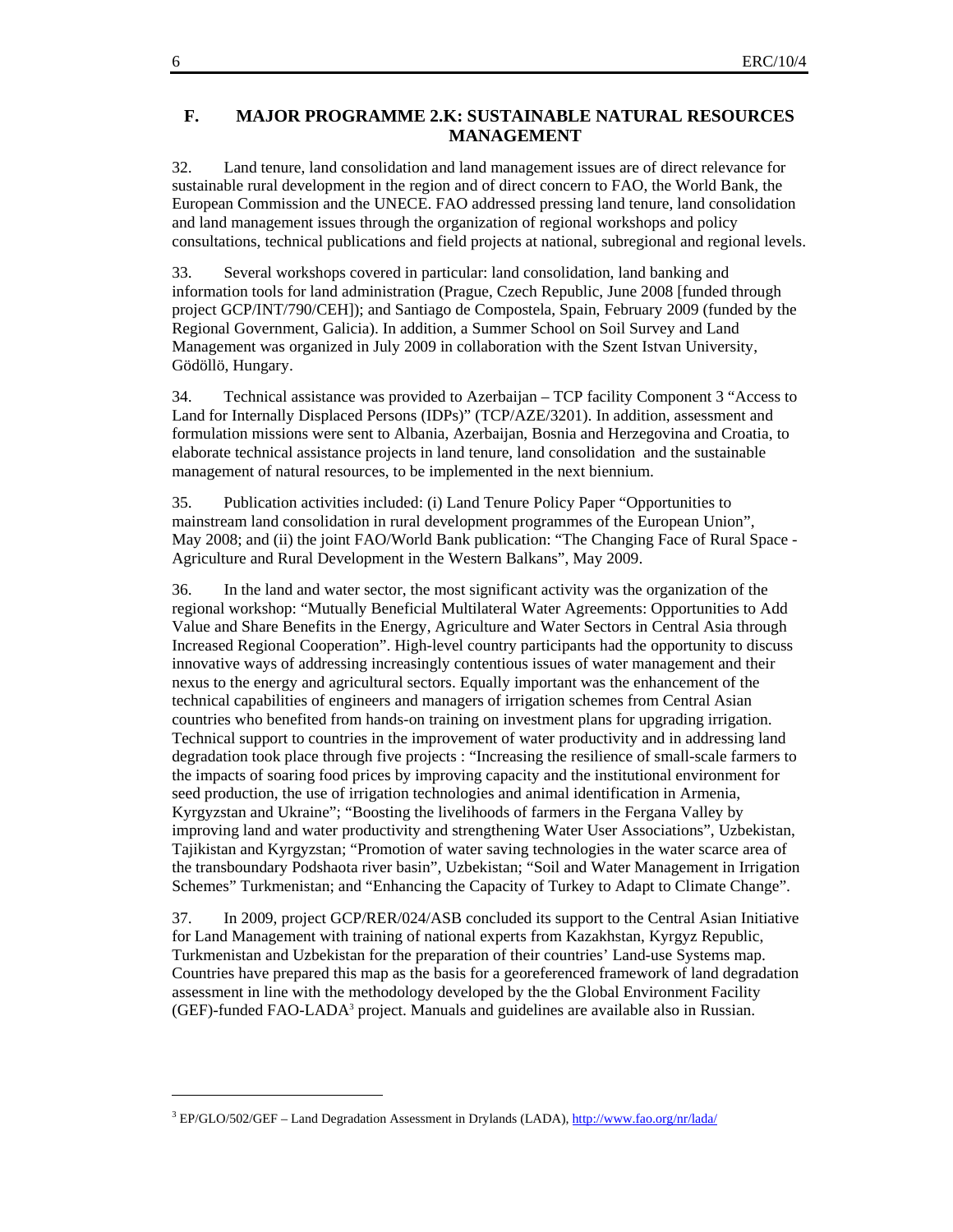#### **F. MAJOR PROGRAMME 2.K: SUSTAINABLE NATURAL RESOURCES MANAGEMENT**

32. Land tenure, land consolidation and land management issues are of direct relevance for sustainable rural development in the region and of direct concern to FAO, the World Bank, the European Commission and the UNECE. FAO addressed pressing land tenure, land consolidation and land management issues through the organization of regional workshops and policy consultations, technical publications and field projects at national, subregional and regional levels.

33. Several workshops covered in particular: land consolidation, land banking and information tools for land administration (Prague, Czech Republic, June 2008 [funded through project GCP/INT/790/CEH]); and Santiago de Compostela, Spain, February 2009 (funded by the Regional Government, Galicia). In addition, a Summer School on Soil Survey and Land Management was organized in July 2009 in collaboration with the Szent Istvan University, Gödöllö, Hungary.

34. Technical assistance was provided to Azerbaijan – TCP facility Component 3 "Access to Land for Internally Displaced Persons (IDPs)" (TCP/AZE/3201). In addition, assessment and formulation missions were sent to Albania, Azerbaijan, Bosnia and Herzegovina and Croatia, to elaborate technical assistance projects in land tenure, land consolidation and the sustainable management of natural resources, to be implemented in the next biennium.

35. Publication activities included: (i) Land Tenure Policy Paper "Opportunities to mainstream land consolidation in rural development programmes of the European Union", May 2008; and (ii) the joint FAO/World Bank publication: "The Changing Face of Rural Space - Agriculture and Rural Development in the Western Balkans", May 2009.

36. In the land and water sector, the most significant activity was the organization of the regional workshop: "Mutually Beneficial Multilateral Water Agreements: Opportunities to Add Value and Share Benefits in the Energy, Agriculture and Water Sectors in Central Asia through Increased Regional Cooperation". High-level country participants had the opportunity to discuss innovative ways of addressing increasingly contentious issues of water management and their nexus to the energy and agricultural sectors. Equally important was the enhancement of the technical capabilities of engineers and managers of irrigation schemes from Central Asian countries who benefited from hands-on training on investment plans for upgrading irrigation. Technical support to countries in the improvement of water productivity and in addressing land degradation took place through five projects : "Increasing the resilience of small-scale farmers to the impacts of soaring food prices by improving capacity and the institutional environment for seed production, the use of irrigation technologies and animal identification in Armenia, Kyrgyzstan and Ukraine"; "Boosting the livelihoods of farmers in the Fergana Valley by improving land and water productivity and strengthening Water User Associations", Uzbekistan, Tajikistan and Kyrgyzstan; "Promotion of water saving technologies in the water scarce area of the transboundary Podshaota river basin", Uzbekistan; "Soil and Water Management in Irrigation Schemes" Turkmenistan; and "Enhancing the Capacity of Turkey to Adapt to Climate Change".

37. In 2009, project GCP/RER/024/ASB concluded its support to the Central Asian Initiative for Land Management with training of national experts from Kazakhstan, Kyrgyz Republic, Turkmenistan and Uzbekistan for the preparation of their countries' Land-use Systems map. Countries have prepared this map as the basis for a georeferenced framework of land degradation assessment in line with the methodology developed by the the Global Environment Facility (GEF)-funded FAO-LADA<sup>3</sup> project. Manuals and guidelines are available also in Russian.

 $\overline{a}$ 

<sup>&</sup>lt;sup>3</sup> EP/GLO/502/GEF – Land Degradation Assessment in Drylands (LADA), http://www.fao.org/nr/lada/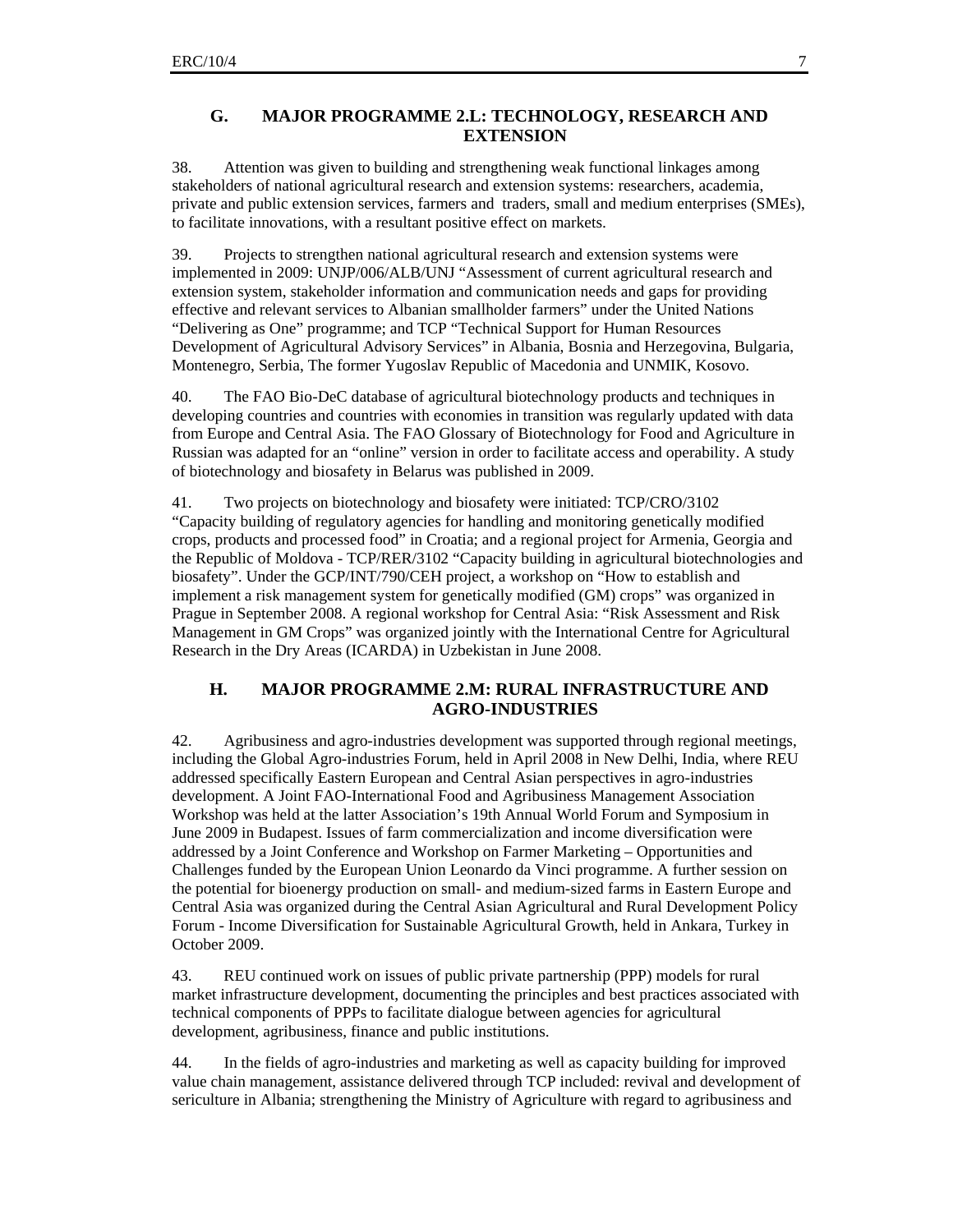#### **G. MAJOR PROGRAMME 2.L: TECHNOLOGY, RESEARCH AND EXTENSION**

38. Attention was given to building and strengthening weak functional linkages among stakeholders of national agricultural research and extension systems: researchers, academia, private and public extension services, farmers and traders, small and medium enterprises (SMEs), to facilitate innovations, with a resultant positive effect on markets.

39. Projects to strengthen national agricultural research and extension systems were implemented in 2009: UNJP/006/ALB/UNJ "Assessment of current agricultural research and extension system, stakeholder information and communication needs and gaps for providing effective and relevant services to Albanian smallholder farmers" under the United Nations "Delivering as One" programme; and TCP "Technical Support for Human Resources Development of Agricultural Advisory Services" in Albania, Bosnia and Herzegovina, Bulgaria, Montenegro, Serbia, The former Yugoslav Republic of Macedonia and UNMIK, Kosovo.

40. The FAO Bio-DeC database of agricultural biotechnology products and techniques in developing countries and countries with economies in transition was regularly updated with data from Europe and Central Asia. The FAO Glossary of Biotechnology for Food and Agriculture in Russian was adapted for an "online" version in order to facilitate access and operability. A study of biotechnology and biosafety in Belarus was published in 2009.

41. Two projects on biotechnology and biosafety were initiated: TCP/CRO/3102 "Capacity building of regulatory agencies for handling and monitoring genetically modified crops, products and processed food" in Croatia; and a regional project for Armenia, Georgia and the Republic of Moldova - TCP/RER/3102 "Capacity building in agricultural biotechnologies and biosafety". Under the GCP/INT/790/CEH project, a workshop on "How to establish and implement a risk management system for genetically modified (GM) crops" was organized in Prague in September 2008. A regional workshop for Central Asia: "Risk Assessment and Risk Management in GM Crops" was organized jointly with the International Centre for Agricultural Research in the Dry Areas (ICARDA) in Uzbekistan in June 2008.

#### **H. MAJOR PROGRAMME 2.M: RURAL INFRASTRUCTURE AND AGRO-INDUSTRIES**

42. Agribusiness and agro-industries development was supported through regional meetings, including the Global Agro-industries Forum, held in April 2008 in New Delhi, India, where REU addressed specifically Eastern European and Central Asian perspectives in agro-industries development. A Joint FAO-International Food and Agribusiness Management Association Workshop was held at the latter Association's 19th Annual World Forum and Symposium in June 2009 in Budapest. Issues of farm commercialization and income diversification were addressed by a Joint Conference and Workshop on Farmer Marketing – Opportunities and Challenges funded by the European Union Leonardo da Vinci programme. A further session on the potential for bioenergy production on small- and medium-sized farms in Eastern Europe and Central Asia was organized during the Central Asian Agricultural and Rural Development Policy Forum - Income Diversification for Sustainable Agricultural Growth, held in Ankara, Turkey in October 2009.

43. REU continued work on issues of public private partnership (PPP) models for rural market infrastructure development, documenting the principles and best practices associated with technical components of PPPs to facilitate dialogue between agencies for agricultural development, agribusiness, finance and public institutions.

44. In the fields of agro-industries and marketing as well as capacity building for improved value chain management, assistance delivered through TCP included: revival and development of sericulture in Albania; strengthening the Ministry of Agriculture with regard to agribusiness and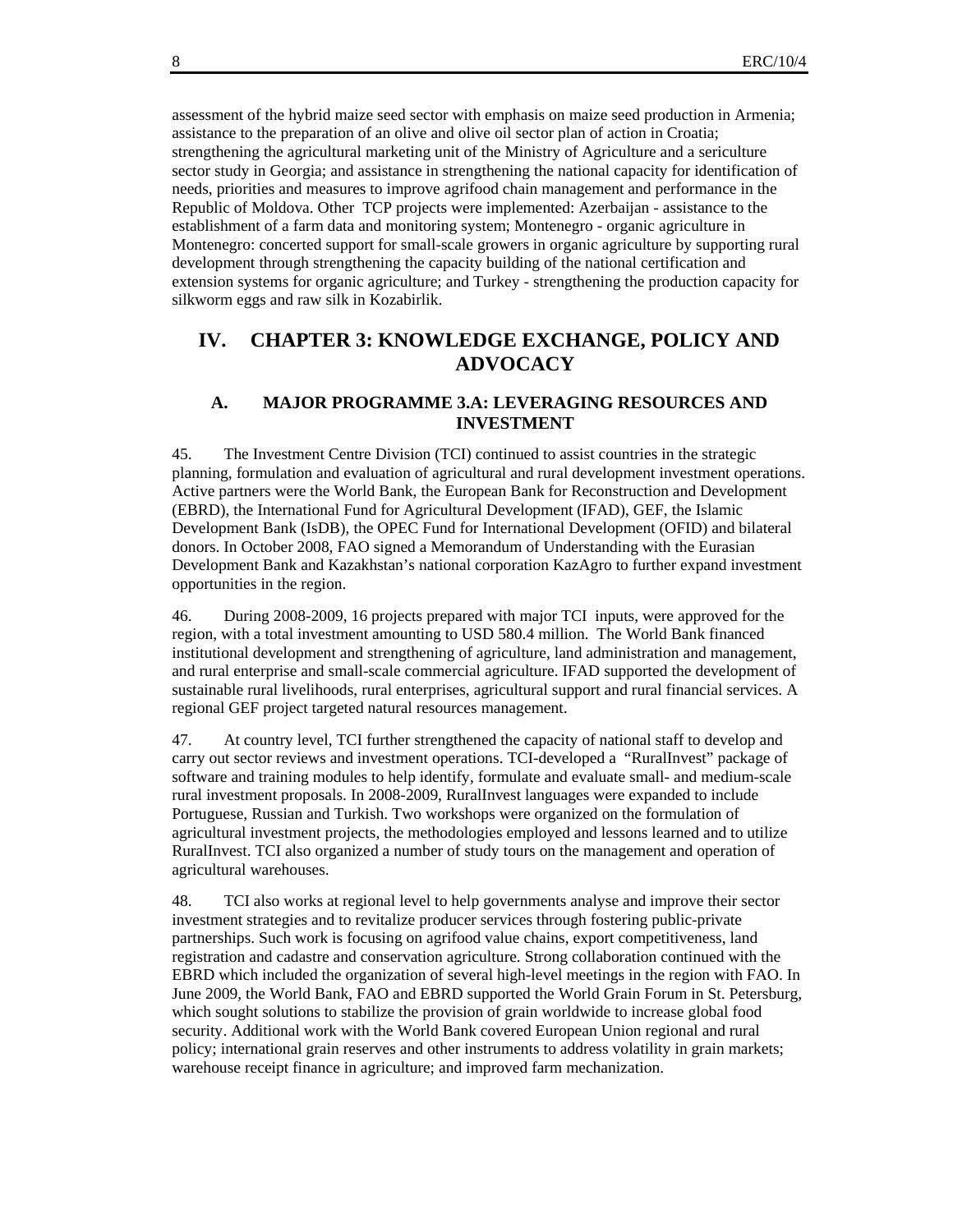assessment of the hybrid maize seed sector with emphasis on maize seed production in Armenia; assistance to the preparation of an olive and olive oil sector plan of action in Croatia; strengthening the agricultural marketing unit of the Ministry of Agriculture and a sericulture sector study in Georgia; and assistance in strengthening the national capacity for identification of needs, priorities and measures to improve agrifood chain management and performance in the Republic of Moldova. Other TCP projects were implemented: Azerbaijan - assistance to the establishment of a farm data and monitoring system; Montenegro - organic agriculture in Montenegro: concerted support for small-scale growers in organic agriculture by supporting rural development through strengthening the capacity building of the national certification and extension systems for organic agriculture; and Turkey - strengthening the production capacity for silkworm eggs and raw silk in Kozabirlik.

### **IV. CHAPTER 3: KNOWLEDGE EXCHANGE, POLICY AND ADVOCACY**

#### **A. MAJOR PROGRAMME 3.A: LEVERAGING RESOURCES AND INVESTMENT**

45. The Investment Centre Division (TCI) continued to assist countries in the strategic planning, formulation and evaluation of agricultural and rural development investment operations. Active partners were the World Bank, the European Bank for Reconstruction and Development (EBRD), the International Fund for Agricultural Development (IFAD), GEF, the Islamic Development Bank (IsDB), the OPEC Fund for International Development (OFID) and bilateral donors. In October 2008, FAO signed a Memorandum of Understanding with the Eurasian Development Bank and Kazakhstan's national corporation KazAgro to further expand investment opportunities in the region.

46. During 2008-2009, 16 projects prepared with major TCI inputs, were approved for the region, with a total investment amounting to USD 580.4 million. The World Bank financed institutional development and strengthening of agriculture, land administration and management, and rural enterprise and small-scale commercial agriculture. IFAD supported the development of sustainable rural livelihoods, rural enterprises, agricultural support and rural financial services. A regional GEF project targeted natural resources management.

47. At country level, TCI further strengthened the capacity of national staff to develop and carry out sector reviews and investment operations. TCI-developed a "RuralInvest" package of software and training modules to help identify, formulate and evaluate small- and medium-scale rural investment proposals. In 2008-2009, RuralInvest languages were expanded to include Portuguese, Russian and Turkish. Two workshops were organized on the formulation of agricultural investment projects, the methodologies employed and lessons learned and to utilize RuralInvest. TCI also organized a number of study tours on the management and operation of agricultural warehouses.

48. TCI also works at regional level to help governments analyse and improve their sector investment strategies and to revitalize producer services through fostering public-private partnerships. Such work is focusing on agrifood value chains, export competitiveness, land registration and cadastre and conservation agriculture. Strong collaboration continued with the EBRD which included the organization of several high-level meetings in the region with FAO. In June 2009, the World Bank, FAO and EBRD supported the World Grain Forum in St. Petersburg, which sought solutions to stabilize the provision of grain worldwide to increase global food security. Additional work with the World Bank covered European Union regional and rural policy; international grain reserves and other instruments to address volatility in grain markets; warehouse receipt finance in agriculture; and improved farm mechanization.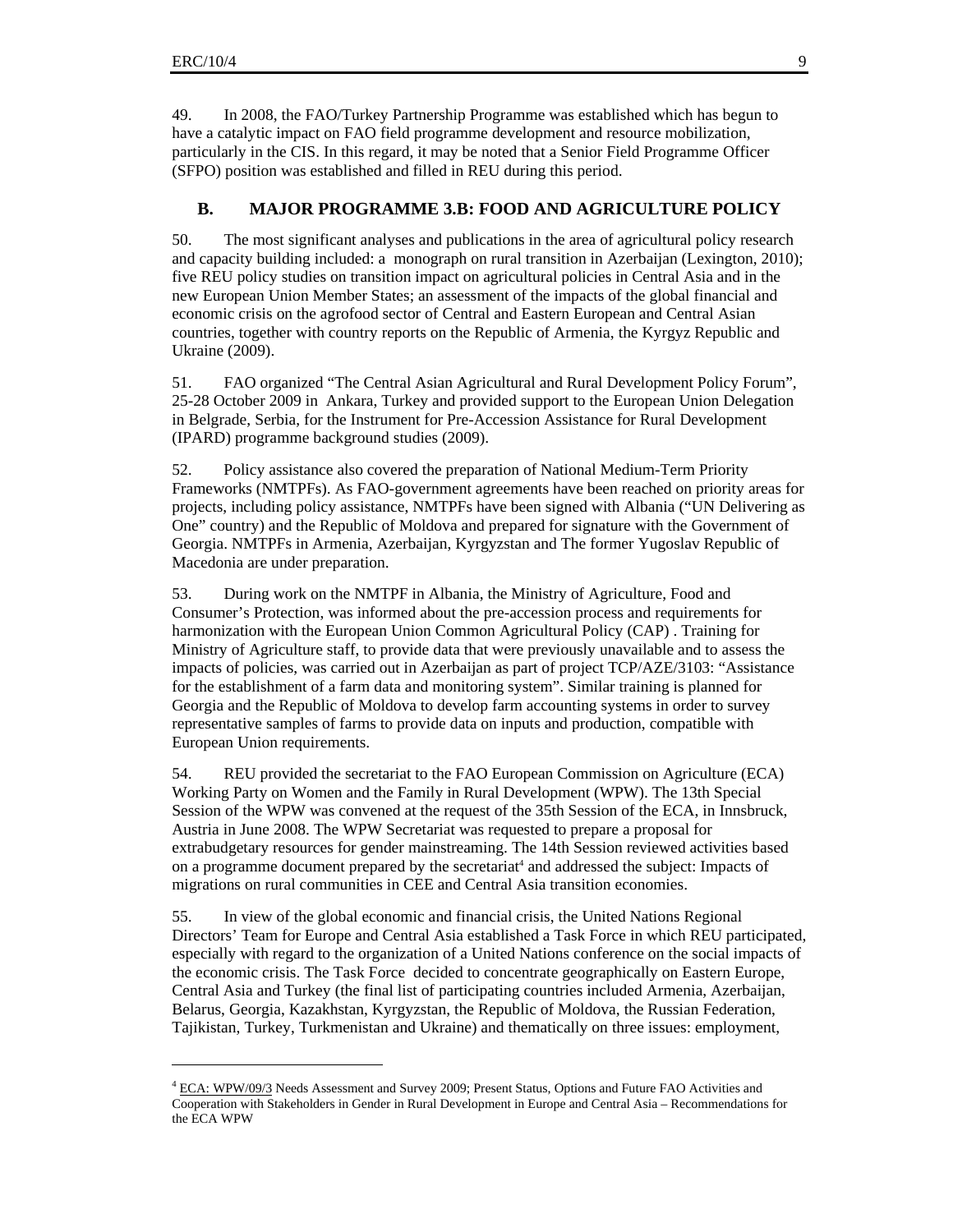$\overline{a}$ 

49. In 2008, the FAO/Turkey Partnership Programme was established which has begun to have a catalytic impact on FAO field programme development and resource mobilization, particularly in the CIS. In this regard, it may be noted that a Senior Field Programme Officer (SFPO) position was established and filled in REU during this period.

#### **B. MAJOR PROGRAMME 3.B: FOOD AND AGRICULTURE POLICY**

50. The most significant analyses and publications in the area of agricultural policy research and capacity building included: a monograph on rural transition in Azerbaijan (Lexington, 2010); five REU policy studies on transition impact on agricultural policies in Central Asia and in the new European Union Member States; an assessment of the impacts of the global financial and economic crisis on the agrofood sector of Central and Eastern European and Central Asian countries, together with country reports on the Republic of Armenia, the Kyrgyz Republic and Ukraine (2009).

51. FAO organized "The Central Asian Agricultural and Rural Development Policy Forum", 25-28 October 2009 in Ankara, Turkey and provided support to the European Union Delegation in Belgrade, Serbia, for the Instrument for Pre-Accession Assistance for Rural Development (IPARD) programme background studies (2009).

52. Policy assistance also covered the preparation of National Medium-Term Priority Frameworks (NMTPFs). As FAO-government agreements have been reached on priority areas for projects, including policy assistance, NMTPFs have been signed with Albania ("UN Delivering as One" country) and the Republic of Moldova and prepared for signature with the Government of Georgia. NMTPFs in Armenia, Azerbaijan, Kyrgyzstan and The former Yugoslav Republic of Macedonia are under preparation.

53. During work on the NMTPF in Albania, the Ministry of Agriculture, Food and Consumer's Protection, was informed about the pre-accession process and requirements for harmonization with the European Union Common Agricultural Policy (CAP) . Training for Ministry of Agriculture staff, to provide data that were previously unavailable and to assess the impacts of policies, was carried out in Azerbaijan as part of project TCP/AZE/3103: "Assistance for the establishment of a farm data and monitoring system". Similar training is planned for Georgia and the Republic of Moldova to develop farm accounting systems in order to survey representative samples of farms to provide data on inputs and production, compatible with European Union requirements.

54. REU provided the secretariat to the FAO European Commission on Agriculture (ECA) Working Party on Women and the Family in Rural Development (WPW). The 13th Special Session of the WPW was convened at the request of the 35th Session of the ECA, in Innsbruck, Austria in June 2008. The WPW Secretariat was requested to prepare a proposal for extrabudgetary resources for gender mainstreaming. The 14th Session reviewed activities based on a programme document prepared by the secretariat<sup>4</sup> and addressed the subject: Impacts of migrations on rural communities in CEE and Central Asia transition economies.

55. In view of the global economic and financial crisis, the United Nations Regional Directors' Team for Europe and Central Asia established a Task Force in which REU participated, especially with regard to the organization of a United Nations conference on the social impacts of the economic crisis. The Task Force decided to concentrate geographically on Eastern Europe, Central Asia and Turkey (the final list of participating countries included Armenia, Azerbaijan, Belarus, Georgia, Kazakhstan, Kyrgyzstan, the Republic of Moldova, the Russian Federation, Tajikistan, Turkey, Turkmenistan and Ukraine) and thematically on three issues: employment,

<sup>&</sup>lt;sup>4</sup> ECA: WPW/09/3 Needs Assessment and Survey 2009; Present Status, Options and Future FAO Activities and Cooperation with Stakeholders in Gender in Rural Development in Europe and Central Asia – Recommendations for the ECA WPW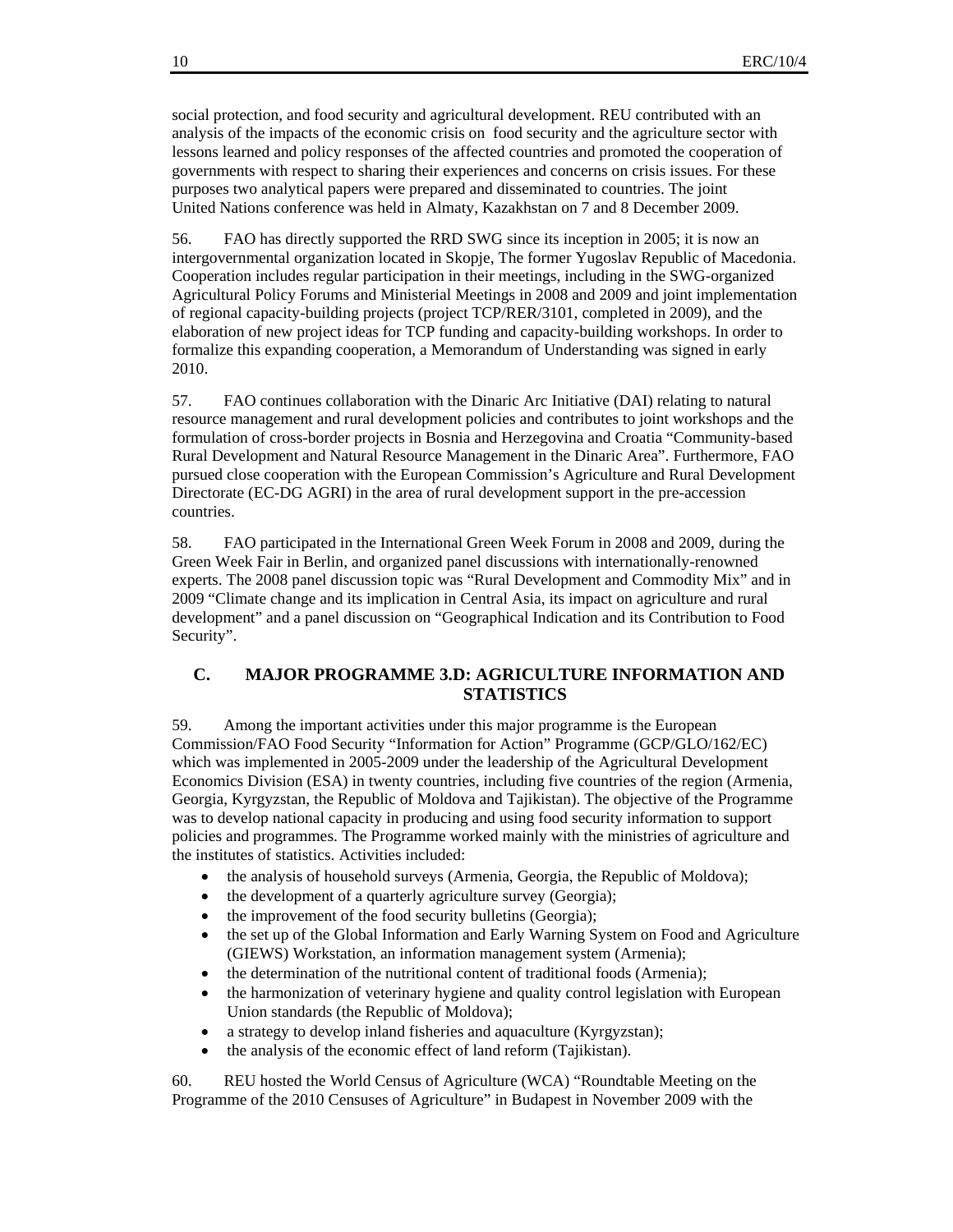social protection, and food security and agricultural development. REU contributed with an analysis of the impacts of the economic crisis on food security and the agriculture sector with lessons learned and policy responses of the affected countries and promoted the cooperation of governments with respect to sharing their experiences and concerns on crisis issues. For these purposes two analytical papers were prepared and disseminated to countries. The joint United Nations conference was held in Almaty, Kazakhstan on 7 and 8 December 2009.

56. FAO has directly supported the RRD SWG since its inception in 2005; it is now an intergovernmental organization located in Skopje, The former Yugoslav Republic of Macedonia. Cooperation includes regular participation in their meetings, including in the SWG-organized Agricultural Policy Forums and Ministerial Meetings in 2008 and 2009 and joint implementation of regional capacity-building projects (project TCP/RER/3101, completed in 2009), and the elaboration of new project ideas for TCP funding and capacity-building workshops. In order to formalize this expanding cooperation, a Memorandum of Understanding was signed in early 2010.

57. FAO continues collaboration with the Dinaric Arc Initiative (DAI) relating to natural resource management and rural development policies and contributes to joint workshops and the formulation of cross-border projects in Bosnia and Herzegovina and Croatia "Community-based Rural Development and Natural Resource Management in the Dinaric Area". Furthermore, FAO pursued close cooperation with the European Commission's Agriculture and Rural Development Directorate (EC-DG AGRI) in the area of rural development support in the pre-accession countries.

58. FAO participated in the International Green Week Forum in 2008 and 2009, during the Green Week Fair in Berlin, and organized panel discussions with internationally-renowned experts. The 2008 panel discussion topic was "Rural Development and Commodity Mix" and in 2009 "Climate change and its implication in Central Asia, its impact on agriculture and rural development" and a panel discussion on "Geographical Indication and its Contribution to Food Security".

#### **C. MAJOR PROGRAMME 3.D: AGRICULTURE INFORMATION AND STATISTICS**

59. Among the important activities under this major programme is the European Commission/FAO Food Security "Information for Action" Programme (GCP/GLO/162/EC) which was implemented in 2005-2009 under the leadership of the Agricultural Development Economics Division (ESA) in twenty countries, including five countries of the region (Armenia, Georgia, Kyrgyzstan, the Republic of Moldova and Tajikistan). The objective of the Programme was to develop national capacity in producing and using food security information to support policies and programmes. The Programme worked mainly with the ministries of agriculture and the institutes of statistics. Activities included:

- the analysis of household surveys (Armenia, Georgia, the Republic of Moldova);
- the development of a quarterly agriculture survey (Georgia);
- the improvement of the food security bulletins (Georgia);
- the set up of the Global Information and Early Warning System on Food and Agriculture (GIEWS) Workstation, an information management system (Armenia);
- the determination of the nutritional content of traditional foods (Armenia);
- the harmonization of veterinary hygiene and quality control legislation with European Union standards (the Republic of Moldova);
- a strategy to develop inland fisheries and aquaculture (Kyrgyzstan);
- the analysis of the economic effect of land reform (Tajikistan).

60. REU hosted the World Census of Agriculture (WCA) "Roundtable Meeting on the Programme of the 2010 Censuses of Agriculture" in Budapest in November 2009 with the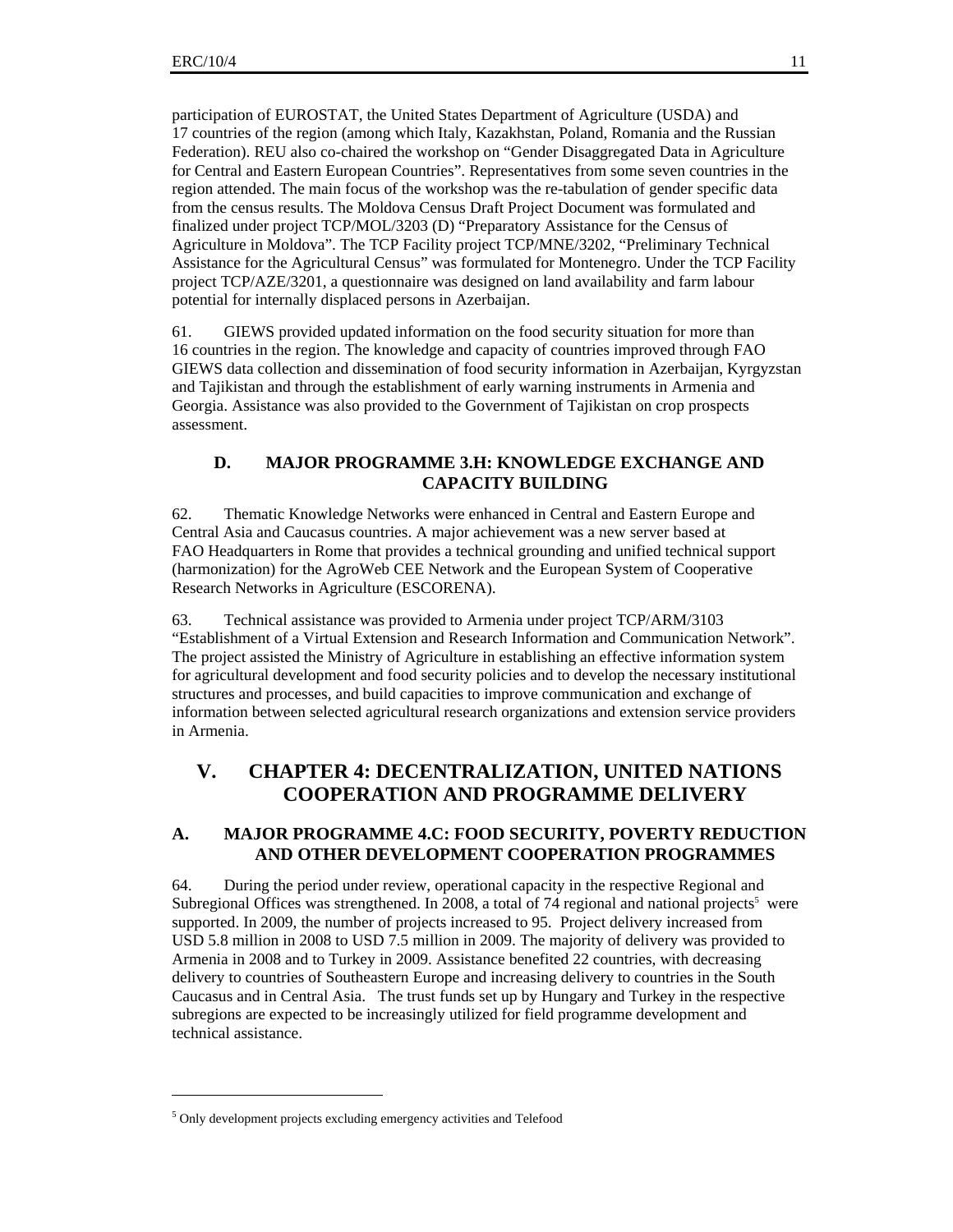participation of EUROSTAT, the United States Department of Agriculture (USDA) and 17 countries of the region (among which Italy, Kazakhstan, Poland, Romania and the Russian Federation). REU also co-chaired the workshop on "Gender Disaggregated Data in Agriculture for Central and Eastern European Countries". Representatives from some seven countries in the region attended. The main focus of the workshop was the re-tabulation of gender specific data from the census results. The Moldova Census Draft Project Document was formulated and finalized under project TCP/MOL/3203 (D) "Preparatory Assistance for the Census of Agriculture in Moldova". The TCP Facility project TCP/MNE/3202, "Preliminary Technical Assistance for the Agricultural Census" was formulated for Montenegro. Under the TCP Facility project TCP/AZE/3201, a questionnaire was designed on land availability and farm labour potential for internally displaced persons in Azerbaijan.

61. GIEWS provided updated information on the food security situation for more than 16 countries in the region. The knowledge and capacity of countries improved through FAO GIEWS data collection and dissemination of food security information in Azerbaijan, Kyrgyzstan and Tajikistan and through the establishment of early warning instruments in Armenia and Georgia. Assistance was also provided to the Government of Tajikistan on crop prospects assessment.

#### **D. MAJOR PROGRAMME 3.H: KNOWLEDGE EXCHANGE AND CAPACITY BUILDING**

62. Thematic Knowledge Networks were enhanced in Central and Eastern Europe and Central Asia and Caucasus countries. A major achievement was a new server based at FAO Headquarters in Rome that provides a technical grounding and unified technical support (harmonization) for the AgroWeb CEE Network and the European System of Cooperative Research Networks in Agriculture (ESCORENA).

63. Technical assistance was provided to Armenia under project TCP/ARM/3103 "Establishment of a Virtual Extension and Research Information and Communication Network". The project assisted the Ministry of Agriculture in establishing an effective information system for agricultural development and food security policies and to develop the necessary institutional structures and processes, and build capacities to improve communication and exchange of information between selected agricultural research organizations and extension service providers in Armenia.

## **V. CHAPTER 4: DECENTRALIZATION, UNITED NATIONS COOPERATION AND PROGRAMME DELIVERY**

#### **A. MAJOR PROGRAMME 4.C: FOOD SECURITY, POVERTY REDUCTION AND OTHER DEVELOPMENT COOPERATION PROGRAMMES**

64. During the period under review, operational capacity in the respective Regional and Subregional Offices was strengthened. In 2008, a total of 74 regional and national projects<sup>5</sup> were supported. In 2009, the number of projects increased to 95. Project delivery increased from USD 5.8 million in 2008 to USD 7.5 million in 2009. The majority of delivery was provided to Armenia in 2008 and to Turkey in 2009. Assistance benefited 22 countries, with decreasing delivery to countries of Southeastern Europe and increasing delivery to countries in the South Caucasus and in Central Asia. The trust funds set up by Hungary and Turkey in the respective subregions are expected to be increasingly utilized for field programme development and technical assistance.

 $\overline{a}$ 

<sup>&</sup>lt;sup>5</sup> Only development projects excluding emergency activities and Telefood